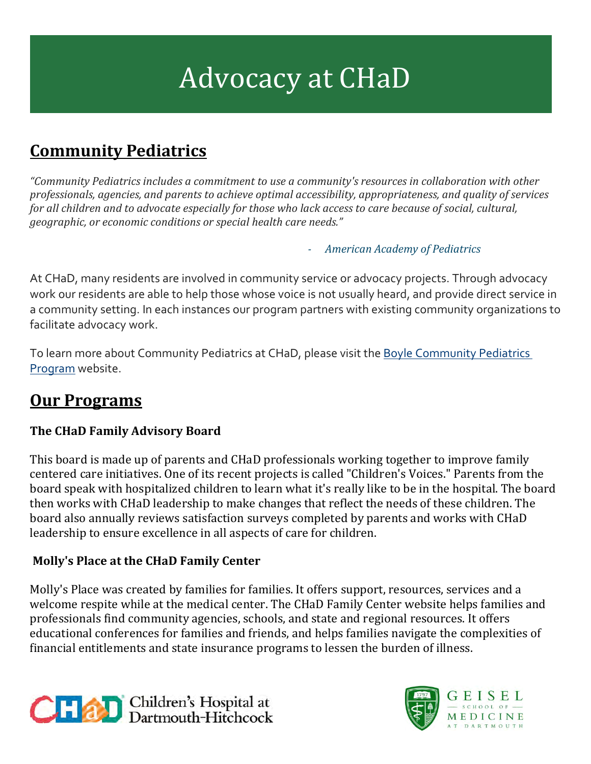# Advocacy at CHaD

## **Community Pediatrics**

*"Community Pediatrics includes a commitment to use a community's resources in collaboration with other professionals, agencies, and parents to achieve optimal accessibility, appropriateness, and quality of services for all children and to advocate especially for those who lack access to care because of social, cultural, geographic, or economic conditions or special health care needs."*

*- American Academy of Pediatrics*

At CHaD, many residents are involved in community service or advocacy projects. Through advocacy work our residents are able to help those whose voice is not usually heard, and provide direct service in a community setting. In each instances our program partners with existing community organizations to facilitate advocacy work.

To learn more about Community Pediatrics at CHaD, please visit the Boyle Community Pediatrics [Program](https://www.chadkids.org/boyle) website.

### **Our Programs**

#### **The CHaD Family Advisory Board**

This board is made up of parents and CHaD professionals working together to improve family centered care initiatives. One of its recent projects is called "Children's Voices." Parents from the board speak with hospitalized children to learn what it's really like to be in the hospital. The board then works with CHaD leadership to make changes that reflect the needs of these children. The board also annually reviews satisfaction surveys completed by parents and works with CHaD leadership to ensure excellence in all aspects of care for children.

#### **Molly's Place at the CHaD Family Center**

Molly's Place was created by families for families. It offers support, resources, services and a welcome respite while at the medical center. The CHaD Family Center website helps families and professionals find community agencies, schools, and state and regional resources. It offers educational conferences for families and friends, and helps families navigate the complexities of financial entitlements and state insurance programs to lessen the burden of illness.



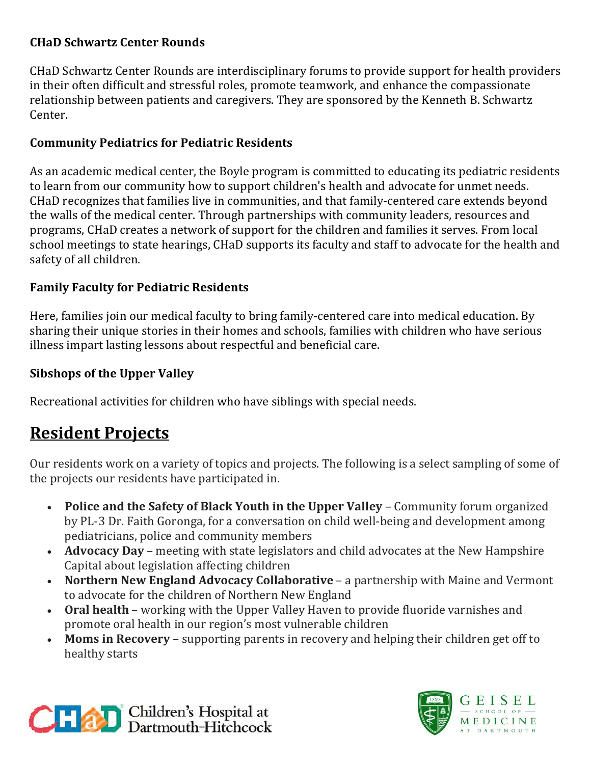#### **CHaD Schwartz Center Rounds**

CHaD Schwartz Center Rounds are interdisciplinary forums to provide support for health providers in their often difficult and stressful roles, promote teamwork, and enhance the compassionate relationship between patients and caregivers. They are sponsored by the Kenneth B. Schwartz Center.

#### **Community Pediatrics for Pediatric Residents**

As an academic medical center, the Boyle program is committed to educating its pediatric residents to learn from our community how to support children's health and advocate for unmet needs. CHaD recognizes that families live in communities, and that family-centered care extends beyond the walls of the medical center. Through partnerships with community leaders, resources and programs, CHaD creates a network of support for the children and families it serves. From local school meetings to state hearings, CHaD supports its faculty and staff to advocate for the health and safety of all children.

#### **Family Faculty for Pediatric Residents**

Here, families join our medical faculty to bring family-centered care into medical education. By sharing their unique stories in their homes and schools, families with children who have serious illness impart lasting lessons about respectful and beneficial care.

#### **Sibshops of the Upper Valley**

Recreational activities for children who have siblings with special needs.

## **Resident Projects**

Our residents work on a variety of topics and projects. The following is a select sampling of some of the projects our residents have participated in.

- **Police and the Safety of Black Youth in the Upper Valley** Community forum organized by PL-3 Dr. Faith Goronga, for a conversation on child well-being and development among pediatricians, police and community members
- **Advocacy Day** meeting with state legislators and child advocates at the New Hampshire Capital about legislation affecting children
- **Northern New England Advocacy Collaborative** a partnership with Maine and Vermont to advocate for the children of Northern New England
- **Oral health** working with the Upper Valley Haven to provide fluoride varnishes and promote oral health in our region's most vulnerable children
- **Moms in Recovery** supporting parents in recovery and helping their children get off to healthy starts



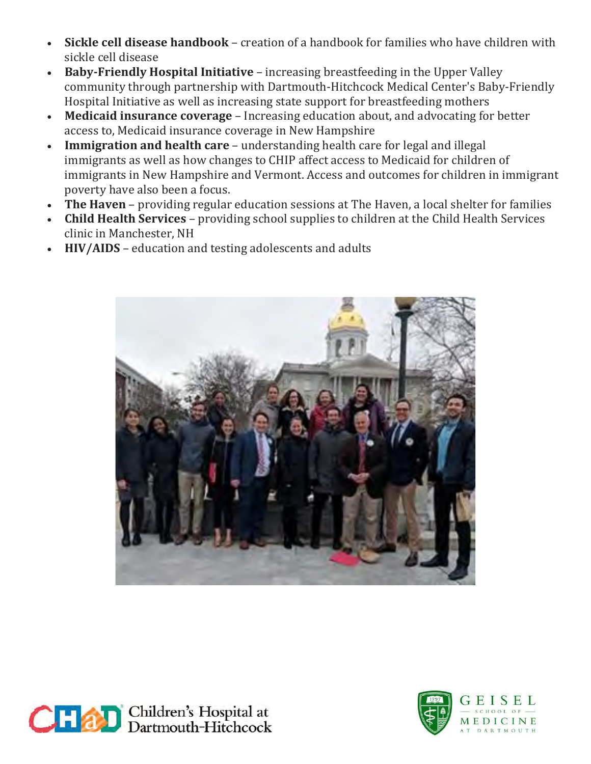- **Sickle cell disease handbook** creation of a handbook for families who have children with sickle cell disease
- **Baby-Friendly Hospital Initiative** increasing breastfeeding in the Upper Valley community through partnership with Dartmouth-Hitchcock Medical Center's Baby-Friendly Hospital Initiative as well as increasing state support for breastfeeding mothers
- **Medicaid insurance coverage** Increasing education about, and advocating for better access to, Medicaid insurance coverage in New Hampshire
- **Immigration and health care** understanding health care for legal and illegal immigrants as well as how changes to CHIP affect access to Medicaid for children of immigrants in New Hampshire and Vermont. Access and outcomes for children in immigrant poverty have also been a focus.
- **The Haven** providing regular education sessions at The Haven, a local shelter for families
- **Child Health Services** providing school supplies to children at the Child Health Services clinic in Manchester, NH
- **HIV/AIDS** education and testing adolescents and adults